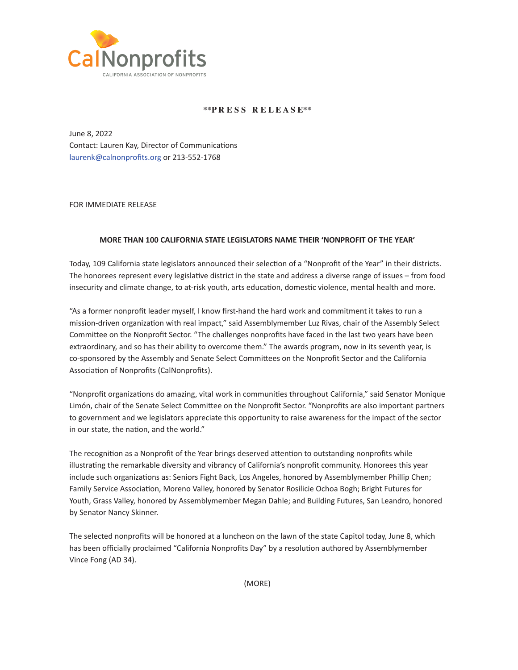

## **\*\*P R E S S R E L E A S E\*\***

June 8, 2022 Contact: Lauren Kay, Director of Communications [laurenk@calnonprofits.or](mailto:laurenk@calnonprofits.org)g or 213-552-1768

FOR IMMEDIATE RELEASE

## **MORE THAN 100 CALIFORNIA STATE LEGISLATORS NAME THEIR 'NONPROFIT OF THE YEAR'**

Today, 109 California state legislators announced their selection of a "Nonprofit of the Year" in their districts. The honorees represent every legislative district in the state and address a diverse range of issues – from food insecurity and climate change, to at-risk youth, arts education, domestic violence, mental health and more.

"As a former nonprofit leader myself, I know first-hand the hard work and commitment it takes to run a mission-driven organization with real impact," said Assemblymember Luz Rivas, chair of the Assembly Select Committee on the Nonprofit Sector. "The challenges nonprofits have faced in the last two years have been extraordinary, and so has their ability to overcome them." The awards program, now in its seventh year, is co-sponsored by the Assembly and Senate Select Committees on the Nonprofit Sector and the California Association of Nonprofits (CalNonprofits).

"Nonprofit organizations do amazing, vital work in communities throughout California," said Senator Monique Limón, chair of the Senate Select Committee on the Nonprofit Sector. "Nonprofits are also important partners to government and we legislators appreciate this opportunity to raise awareness for the impact of the sector in our state, the nation, and the world."

The recognition as a Nonprofit of the Year brings deserved attention to outstanding nonprofits while illustrating the remarkable diversity and vibrancy of California's nonprofit community. Honorees this year include such organizations as: Seniors Fight Back, Los Angeles, honored by Assemblymember Phillip Chen; Family Service Association, Moreno Valley, honored by Senator Rosilicie Ochoa Bogh; Bright Futures for Youth, Grass Valley, honored by Assemblymember Megan Dahle; and Building Futures, San Leandro, honored by Senator Nancy Skinner.

The selected nonprofits will be honored at a luncheon on the lawn of the state Capitol today, June 8, which has been officially proclaimed "California Nonprofits Day" by a resolution authored by Assemblymember Vince Fong (AD 34).

(MORE)